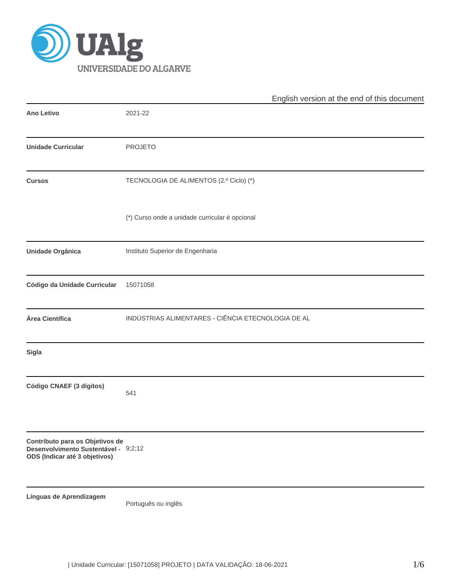

|                                                                                                          | English version at the end of this document        |  |  |  |  |  |  |
|----------------------------------------------------------------------------------------------------------|----------------------------------------------------|--|--|--|--|--|--|
| <b>Ano Letivo</b>                                                                                        | 2021-22                                            |  |  |  |  |  |  |
| <b>Unidade Curricular</b>                                                                                | <b>PROJETO</b>                                     |  |  |  |  |  |  |
| <b>Cursos</b>                                                                                            | TECNOLOGIA DE ALIMENTOS (2.º Ciclo) (*)            |  |  |  |  |  |  |
|                                                                                                          | (*) Curso onde a unidade curricular é opcional     |  |  |  |  |  |  |
| Unidade Orgânica                                                                                         | Instituto Superior de Engenharia                   |  |  |  |  |  |  |
| Código da Unidade Curricular                                                                             | 15071058                                           |  |  |  |  |  |  |
| Área Científica                                                                                          | INDÚSTRIAS ALIMENTARES - CIÊNCIA ETECNOLOGIA DE AL |  |  |  |  |  |  |
| <b>Sigla</b>                                                                                             |                                                    |  |  |  |  |  |  |
| Código CNAEF (3 dígitos)                                                                                 | 541                                                |  |  |  |  |  |  |
| Contributo para os Objetivos de<br>Desenvolvimento Sustentável - 9;2;12<br>ODS (Indicar até 3 objetivos) |                                                    |  |  |  |  |  |  |
| Línguas de Aprendizagem                                                                                  | Português ou inglês                                |  |  |  |  |  |  |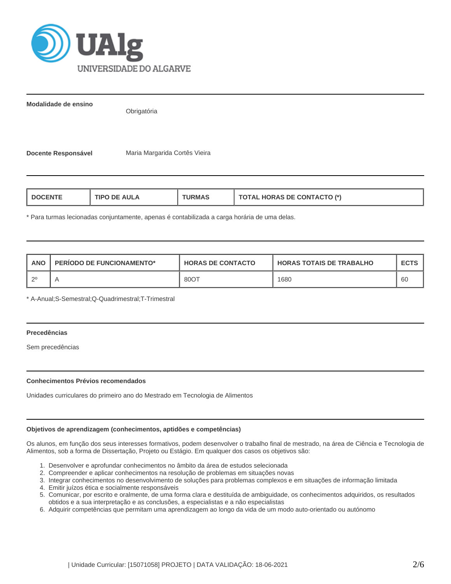

**Modalidade de ensino**

**Obrigatória** 

Docente Responsável Maria Margarida Cortês Vieira

| TIPO DE AULA<br>L DOCENTE<br><b>URMAS</b> | <b>TOTAL HORAS DE CONTACTO (*)</b> |
|-------------------------------------------|------------------------------------|
|-------------------------------------------|------------------------------------|

\* Para turmas lecionadas conjuntamente, apenas é contabilizada a carga horária de uma delas.

| <b>ANO</b> | PERIODO DE FUNCIONAMENTO* | <b>HORAS DE CONTACTO</b> | <b>HORAS TOTAIS DE TRABALHO</b> | <b>ECTS</b> |
|------------|---------------------------|--------------------------|---------------------------------|-------------|
|            |                           | 8001                     | 1680                            | -60         |

\* A-Anual;S-Semestral;Q-Quadrimestral;T-Trimestral

# **Precedências**

Sem precedências

## **Conhecimentos Prévios recomendados**

Unidades curriculares do primeiro ano do Mestrado em Tecnologia de Alimentos

## **Objetivos de aprendizagem (conhecimentos, aptidões e competências)**

Os alunos, em função dos seus interesses formativos, podem desenvolver o trabalho final de mestrado, na área de Ciência e Tecnologia de Alimentos, sob a forma de Dissertação, Projeto ou Estágio. Em qualquer dos casos os objetivos são:

- 1. Desenvolver e aprofundar conhecimentos no âmbito da área de estudos selecionada
- 2. Compreender e aplicar conhecimentos na resolução de problemas em situações novas
- 3. Integrar conhecimentos no desenvolvimento de soluções para problemas complexos e em situações de informação limitada
- 4. Emitir juízos ética e socialmente responsáveis
- 5. Comunicar, por escrito e oralmente, de uma forma clara e destituída de ambiguidade, os conhecimentos adquiridos, os resultados obtidos e a sua interpretação e as conclusões, a especialistas e a não especialistas
- 6. Adquirir competências que permitam uma aprendizagem ao longo da vida de um modo auto-orientado ou autónomo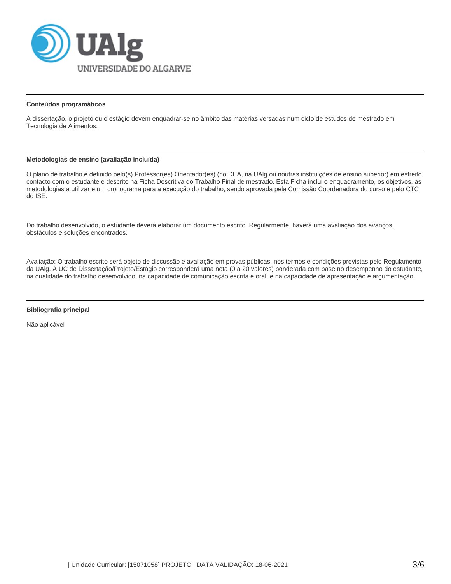

### **Conteúdos programáticos**

A dissertação, o projeto ou o estágio devem enquadrar-se no âmbito das matérias versadas num ciclo de estudos de mestrado em Tecnologia de Alimentos.

## **Metodologias de ensino (avaliação incluída)**

O plano de trabalho é definido pelo(s) Professor(es) Orientador(es) (no DEA, na UAlg ou noutras instituições de ensino superior) em estreito contacto com o estudante e descrito na Ficha Descritiva do Trabalho Final de mestrado. Esta Ficha inclui o enquadramento, os objetivos, as metodologias a utilizar e um cronograma para a execução do trabalho, sendo aprovada pela Comissão Coordenadora do curso e pelo CTC do ISE.

Do trabalho desenvolvido, o estudante deverá elaborar um documento escrito. Regularmente, haverá uma avaliação dos avanços, obstáculos e soluções encontrados.

Avaliação: O trabalho escrito será objeto de discussão e avaliação em provas públicas, nos termos e condições previstas pelo Regulamento da UAlg. À UC de Dissertação/Projeto/Estágio corresponderá uma nota (0 a 20 valores) ponderada com base no desempenho do estudante, na qualidade do trabalho desenvolvido, na capacidade de comunicação escrita e oral, e na capacidade de apresentação e argumentação.

#### **Bibliografia principal**

Não aplicável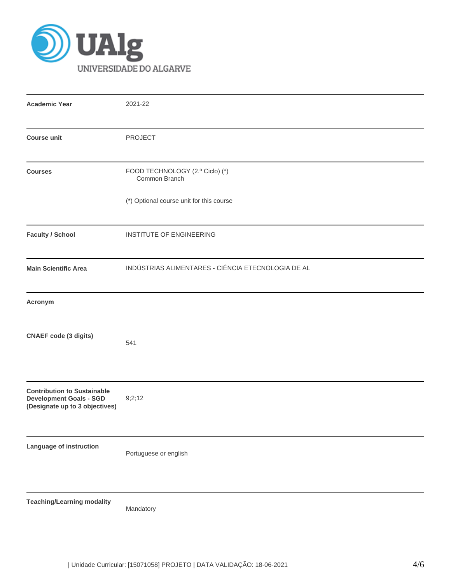

| <b>Academic Year</b>                                                                                   | 2021-22                                            |  |  |  |  |  |  |  |
|--------------------------------------------------------------------------------------------------------|----------------------------------------------------|--|--|--|--|--|--|--|
| <b>Course unit</b>                                                                                     | <b>PROJECT</b>                                     |  |  |  |  |  |  |  |
| <b>Courses</b>                                                                                         | FOOD TECHNOLOGY (2.º Ciclo) (*)<br>Common Branch   |  |  |  |  |  |  |  |
|                                                                                                        | (*) Optional course unit for this course           |  |  |  |  |  |  |  |
| <b>Faculty / School</b>                                                                                | INSTITUTE OF ENGINEERING                           |  |  |  |  |  |  |  |
| <b>Main Scientific Area</b>                                                                            | INDÚSTRIAS ALIMENTARES - CIÊNCIA ETECNOLOGIA DE AL |  |  |  |  |  |  |  |
| Acronym                                                                                                |                                                    |  |  |  |  |  |  |  |
| <b>CNAEF</b> code (3 digits)                                                                           | 541                                                |  |  |  |  |  |  |  |
| <b>Contribution to Sustainable</b><br><b>Development Goals - SGD</b><br>(Designate up to 3 objectives) | 9;2;12                                             |  |  |  |  |  |  |  |
| Language of instruction                                                                                | Portuguese or english                              |  |  |  |  |  |  |  |
| <b>Teaching/Learning modality</b>                                                                      | Mandatory                                          |  |  |  |  |  |  |  |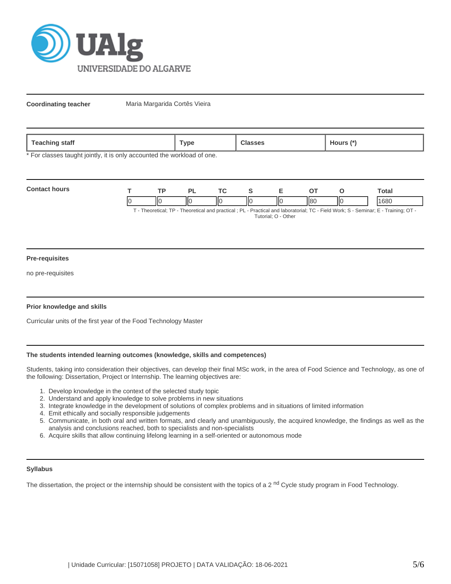

**Coordinating teacher** Maria Margarida Cortês Vieira

| <b>feaching</b><br>staff | ™ype | asses | lours<br>$\mathbf{r}$ |
|--------------------------|------|-------|-----------------------|

\* For classes taught jointly, it is only accounted the workload of one.

| <b>Contact hours</b> | тn |    |   |      |     | `otal                                                                                                                        |
|----------------------|----|----|---|------|-----|------------------------------------------------------------------------------------------------------------------------------|
|                      | ΙК | IЮ | Ш | ll8C | llс | 1680                                                                                                                         |
|                      |    |    |   |      |     | T. Theoretical: TD. Theoretical and prootical : DL. Drastical and laboratorial: TC. Eight Wark: C. Caminar: E. Training: OT. |

T - Theoretical; TP - Theoretical and practical ; PL - Practical and laboratorial; TC - Field Work; S - Seminar; E - Training; OT - Tutorial; O - Other

### **Pre-requisites**

no pre-requisites

### **Prior knowledge and skills**

Curricular units of the first year of the Food Technology Master

# **The students intended learning outcomes (knowledge, skills and competences)**

Students, taking into consideration their objectives, can develop their final MSc work, in the area of Food Science and Technology, as one of the following: Dissertation, Project or Internship. The learning objectives are:

- 1. Develop knowledge in the context of the selected study topic
- 2. Understand and apply knowledge to solve problems in new situations
- 3. Integrate knowledge in the development of solutions of complex problems and in situations of limited information
- 4. Emit ethically and socially responsible judgements
- 5. Communicate, in both oral and written formats, and clearly and unambiguously, the acquired knowledge, the findings as well as the analysis and conclusions reached, both to specialists and non-specialists
- 6. Acquire skills that allow continuing lifelong learning in a self-oriented or autonomous mode

### **Syllabus**

The dissertation, the project or the internship should be consistent with the topics of a 2<sup>nd</sup> Cycle study program in Food Technology.